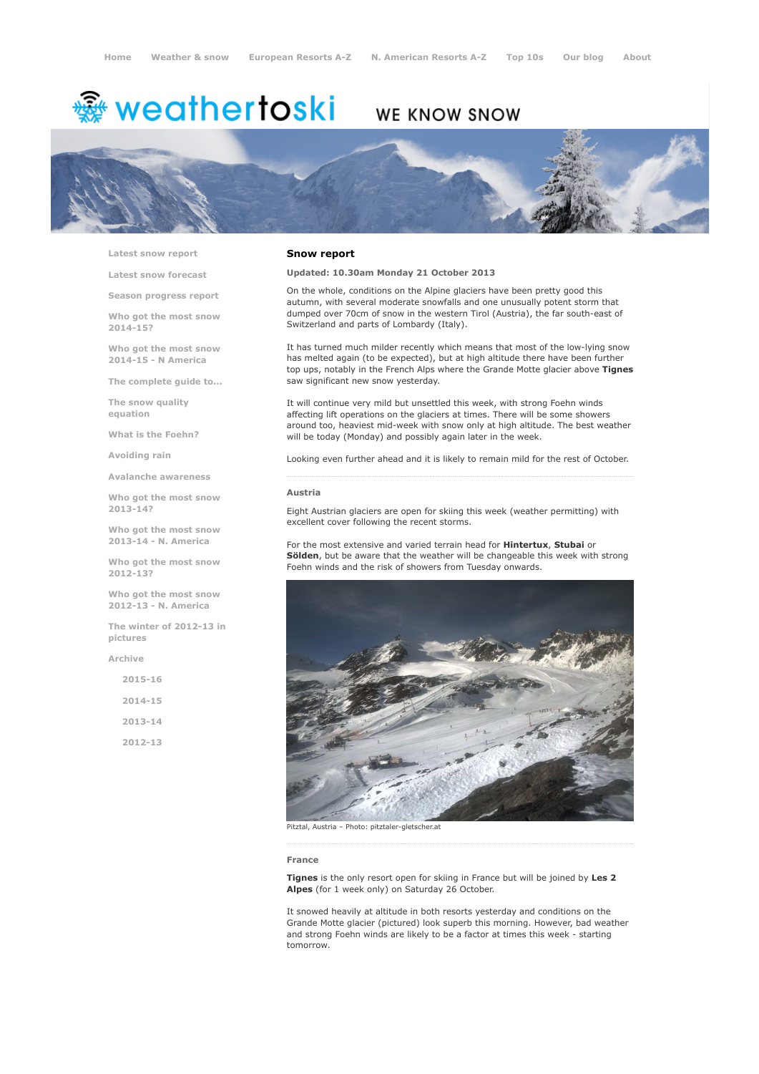# <del>鑾</del> weathertoski

## WE KNOW SNOW



Latest snow [report](http://www.weathertoski.co.uk/weather-snow/latest-snow-report/)

Latest snow [forecast](http://www.weathertoski.co.uk/weather-snow/latest-snow-forecast/)

Season [progress](http://www.weathertoski.co.uk/weather-snow/season-progress-report/) report

Who got the most snow 2014-15?

Who got the most snow 2014-15 - N America

The [complete](http://www.weathertoski.co.uk/weather-snow/the-complete-guide-to/) guide to...

The snow quality [equation](http://www.weathertoski.co.uk/weather-snow/the-snow-quality-equation/)

What is the [Foehn?](http://www.weathertoski.co.uk/weather-snow/what-is-the-foehn/)

[Avoiding](http://www.weathertoski.co.uk/weather-snow/avoiding-rain/) rain

Avalanche [awareness](http://www.weathertoski.co.uk/weather-snow/avalanche-awareness/)

Who got the most snow 2013-14?

Who got the most snow 2013-14 - N. America

Who got the most snow 2012-13?

Who got the most snow 2012-13 - N. America

The winter of 2012-13 in pictures

[Archive](http://www.weathertoski.co.uk/weather-snow/archive/)

| $2015 - 16$ |  |
|-------------|--|
| $2014 - 15$ |  |
| $2013 - 14$ |  |
| 2012-13     |  |

### Snow report

Updated: 10.30am Monday 21 October 2013

On the whole, conditions on the Alpine glaciers have been pretty good this autumn, with several moderate snowfalls and one unusually potent storm that dumped over 70cm of snow in the western Tirol (Austria), the far south-east of Switzerland and parts of Lombardy (Italy).

It has turned much milder recently which means that most of the low-lying snow has melted again (to be expected), but at high altitude there have been further top ups, notably in the French Alps where the Grande Motte glacier above Tignes saw significant new snow yesterday.

It will continue very mild but unsettled this week, with strong Foehn winds affecting lift operations on the glaciers at times. There will be some showers around too, heaviest mid-week with snow only at high altitude. The best weather will be today (Monday) and possibly again later in the week.

Looking even further ahead and it is likely to remain mild for the rest of October.

#### Austria

Eight Austrian glaciers are open for skiing this week (weather permitting) with excellent cover following the recent storms.

For the most extensive and varied terrain head for **Hintertux**, **Stubai** or Sölden, but be aware that the weather will be changeable this week with strong Foehn winds and the risk of showers from Tuesday onwards.



#### France

Tignes is the only resort open for skiing in France but will be joined by Les 2 Alpes (for 1 week only) on Saturday 26 October.

It snowed heavily at altitude in both resorts yesterday and conditions on the Grande Motte glacier (pictured) look superb this morning. However, bad weather and strong Foehn winds are likely to be a factor at times this week - starting tomorrow.